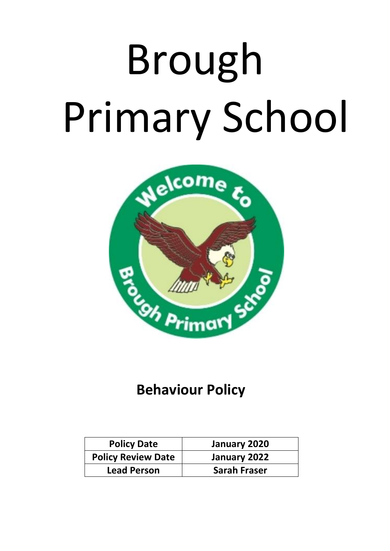# Brough Primary School



## **Behaviour Policy**

| <b>Policy Date</b>        | January 2020        |
|---------------------------|---------------------|
| <b>Policy Review Date</b> | January 2022        |
| <b>Lead Person</b>        | <b>Sarah Fraser</b> |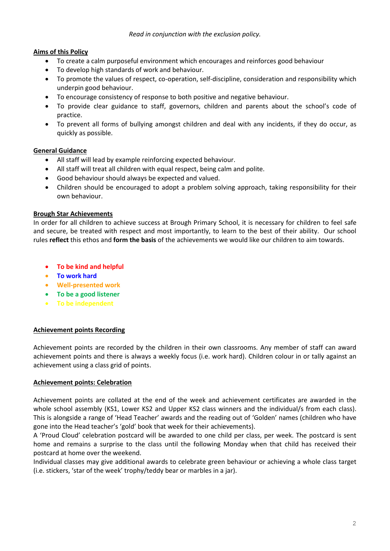#### **Aims of this Policy**

- To create a calm purposeful environment which encourages and reinforces good behaviour
- To develop high standards of work and behaviour.
- To promote the values of respect, co-operation, self-discipline, consideration and responsibility which underpin good behaviour.
- To encourage consistency of response to both positive and negative behaviour.
- To provide clear guidance to staff, governors, children and parents about the school's code of practice.
- To prevent all forms of bullying amongst children and deal with any incidents, if they do occur, as quickly as possible.

#### **General Guidance**

- All staff will lead by example reinforcing expected behaviour.
- All staff will treat all children with equal respect, being calm and polite.
- Good behaviour should always be expected and valued.
- Children should be encouraged to adopt a problem solving approach, taking responsibility for their own behaviour.

#### **Brough Star Achievements**

In order for all children to achieve success at Brough Primary School, it is necessary for children to feel safe and secure, be treated with respect and most importantly, to learn to the best of their ability. Our school rules **reflect** this ethos and **form the basis** of the achievements we would like our children to aim towards.

- **To be kind and helpful**
- **To work hard**
- **Well-presented work**
- **To be a good listener**
- **To be independent**

#### **Achievement points Recording**

Achievement points are recorded by the children in their own classrooms. Any member of staff can award achievement points and there is always a weekly focus (i.e. work hard). Children colour in or tally against an achievement using a class grid of points.

#### **Achievement points: Celebration**

Achievement points are collated at the end of the week and achievement certificates are awarded in the whole school assembly (KS1, Lower KS2 and Upper KS2 class winners and the individual/s from each class). This is alongside a range of 'Head Teacher' awards and the reading out of 'Golden' names (children who have gone into the Head teacher's 'gold' book that week for their achievements).

A 'Proud Cloud' celebration postcard will be awarded to one child per class, per week. The postcard is sent home and remains a surprise to the class until the following Monday when that child has received their postcard at home over the weekend.

Individual classes may give additional awards to celebrate green behaviour or achieving a whole class target (i.e. stickers, 'star of the week' trophy/teddy bear or marbles in a jar).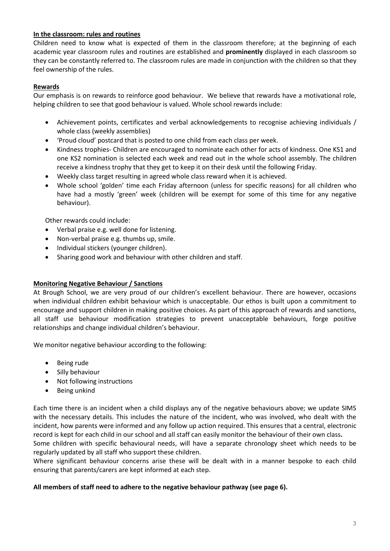#### **In the classroom: rules and routines**

Children need to know what is expected of them in the classroom therefore; at the beginning of each academic year classroom rules and routines are established and **prominently** displayed in each classroom so they can be constantly referred to. The classroom rules are made in conjunction with the children so that they feel ownership of the rules.

#### **Rewards**

Our emphasis is on rewards to reinforce good behaviour. We believe that rewards have a motivational role, helping children to see that good behaviour is valued. Whole school rewards include:

- Achievement points, certificates and verbal acknowledgements to recognise achieving individuals / whole class (weekly assemblies)
- 'Proud cloud' postcard that is posted to one child from each class per week.
- Kindness trophies- Children are encouraged to nominate each other for acts of kindness. One KS1 and one KS2 nomination is selected each week and read out in the whole school assembly. The children receive a kindness trophy that they get to keep it on their desk until the following Friday.
- Weekly class target resulting in agreed whole class reward when it is achieved.
- Whole school 'golden' time each Friday afternoon (unless for specific reasons) for all children who have had a mostly 'green' week (children will be exempt for some of this time for any negative behaviour).

Other rewards could include:

- Verbal praise e.g. well done for listening.
- Non-verbal praise e.g. thumbs up, smile.
- Individual stickers (younger children).
- Sharing good work and behaviour with other children and staff.

#### **Monitoring Negative Behaviour / Sanctions**

At Brough School, we are very proud of our children's excellent behaviour. There are however, occasions when individual children exhibit behaviour which is unacceptable. Our ethos is built upon a commitment to encourage and support children in making positive choices. As part of this approach of rewards and sanctions, all staff use behaviour modification strategies to prevent unacceptable behaviours, forge positive relationships and change individual children's behaviour.

We monitor negative behaviour according to the following:

- Being rude
- Silly behaviour
- Not following instructions
- Being unkind

Each time there is an incident when a child displays any of the negative behaviours above; we update SIMS with the necessary details. This includes the nature of the incident, who was involved, who dealt with the incident, how parents were informed and any follow up action required. This ensures that a central, electronic record is kept for each child in our school and all staff can easily monitor the behaviour of their own class**.** 

Some children with specific behavioural needs, will have a separate chronology sheet which needs to be regularly updated by all staff who support these children.

Where significant behaviour concerns arise these will be dealt with in a manner bespoke to each child ensuring that parents/carers are kept informed at each step.

#### **All members of staff need to adhere to the negative behaviour pathway (see page 6).**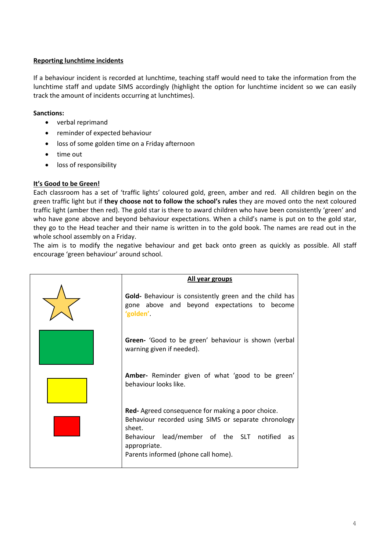#### **Reporting lunchtime incidents**

If a behaviour incident is recorded at lunchtime, teaching staff would need to take the information from the lunchtime staff and update SIMS accordingly (highlight the option for lunchtime incident so we can easily track the amount of incidents occurring at lunchtimes).

#### **Sanctions:**

- verbal reprimand
- reminder of expected behaviour
- loss of some golden time on a Friday afternoon
- time out
- loss of responsibility

#### **It's Good to be Green!**

Each classroom has a set of 'traffic lights' coloured gold, green, amber and red. All children begin on the green traffic light but if **they choose not to follow the school's rules** they are moved onto the next coloured traffic light (amber then red). The gold star is there to award children who have been consistently 'green' and who have gone above and beyond behaviour expectations. When a child's name is put on to the gold star, they go to the Head teacher and their name is written in to the gold book. The names are read out in the whole school assembly on a Friday.

The aim is to modify the negative behaviour and get back onto green as quickly as possible. All staff encourage 'green behaviour' around school.

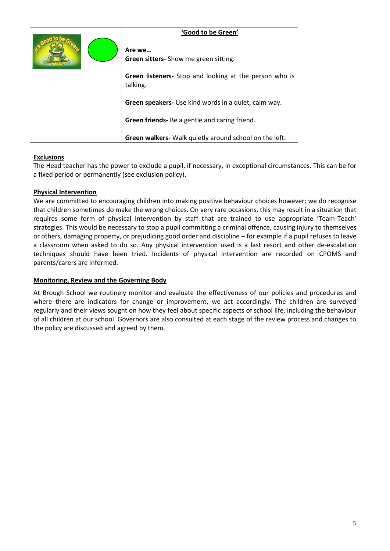| 'Good to be Green'                                                        |
|---------------------------------------------------------------------------|
| Are we<br><b>Green sitters-</b> Show me green sitting.                    |
| <b>Green listeners-</b> Stop and looking at the person who is<br>talking. |
| <b>Green speakers-</b> Use kind words in a quiet, calm way.               |
| Green friends- Be a gentle and caring friend.                             |
| <b>Green walkers-</b> Walk quietly around school on the left.             |

#### **Exclusions**

The Head teacher has the power to exclude a pupil, if necessary, in exceptional circumstances. This can be for a fixed period or permanently (see exclusion policy).

#### **Physical Intervention**

We are committed to encouraging children into making positive behaviour choices however; we do recognise that children sometimes do make the wrong choices. On very rare occasions, this may result in a situation that requires some form of physical intervention by staff that are trained to use appropriate 'Team-Teach' strategies. This would be necessary to stop a pupil committing a criminal offence, causing injury to themselves or others, damaging property, or prejudicing good order and discipline – for example if a pupil refuses to leave a classroom when asked to do so. Any physical intervention used is a last resort and other de-escalation techniques should have been tried. Incidents of physical intervention are recorded on CPOMS and parents/carers are informed.

#### **Monitoring, Review and the Governing Body**

At Brough School we routinely monitor and evaluate the effectiveness of our policies and procedures and where there are indicators for change or improvement, we act accordingly. The children are surveyed regularly and their views sought on how they feel about specific aspects of school life, including the behaviour of all children at our school. Governors are also consulted at each stage of the review process and changes to the policy are discussed and agreed by them.